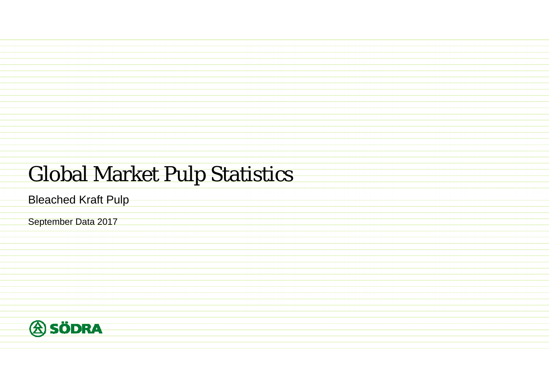## Global Market Pulp Statistics

Bleached Kraft Pulp

September Data 2017

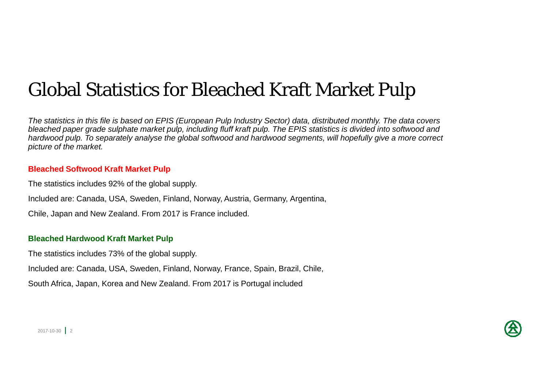### Global Statistics for Bleached Kraft Market Pulp

*The statistics in this file is based on EPIS (European Pulp Industry Sector) data, distributed monthly. The data covers*  bleached paper grade sulphate market pulp, including fluff kraft pulp. The EPIS statistics is divided into softwood and *hardwood pulp. To separately analyse the global softwood and hardwood segments, will hopefully give a more correct picture of the market.*

#### **Bleached Softwood Kraft Market Pulp**

The statistics includes 92% of the global supply.

Included are: Canada, USA, Sweden, Finland, Norway, Austria, Germany, Argentina,

Chile, Japan and New Zealand. From 2017 is France included.

#### **Bleached Hardwood Kraft Market Pulp**

The statistics includes 73% of the global supply.

Included are: Canada, USA, Sweden, Finland, Norway, France, Spain, Brazil, Chile,

South Africa, Japan, Korea and New Zealand. From 2017 is Portugal included

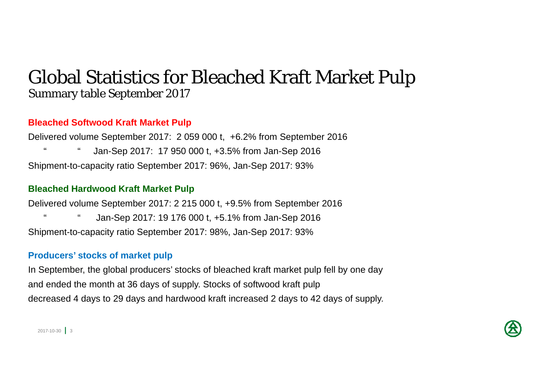### Global Statistics for Bleached Kraft Market Pulp Summary table September 2017

#### **Bleached Softwood Kraft Market Pulp**

Delivered volume September 2017: 2 059 000 t, +6.2% from September 2016 " " Jan-Sep 2017: 17 950 000 t, +3.5% from Jan-Sep 2016 Shipment-to-capacity ratio September 2017: 96%, Jan-Sep 2017: 93%

#### **Bleached Hardwood Kraft Market Pulp**

Delivered volume September 2017: 2 215 000 t, +9.5% from September 2016 Jan-Sep 2017: 19 176 000 t, +5.1% from Jan-Sep 2016 Shipment-to-capacity ratio September 2017: 98%, Jan-Sep 2017: 93%

#### **Producers' stocks of market pulp**

In September, the global producers' stocks of bleached kraft market pulp fell by one day and ended the month at 36 days of supply. Stocks of softwood kraft pulp decreased 4 days to 29 days and hardwood kraft increased 2 days to 42 days of supply.

 $2017 - 10 - 30$  3

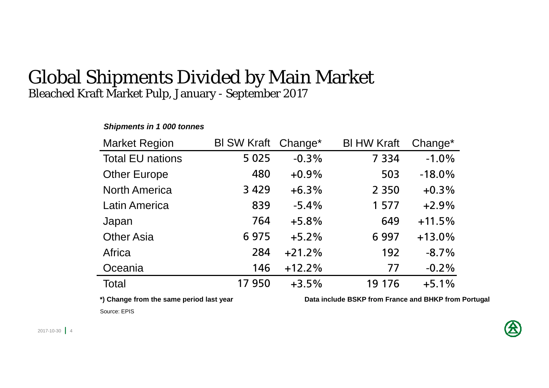#### Global Shipments Divided by Main Market Bleached Kraft Market Pulp, January - September 2017

#### Market Region Total EU nationsOther Europe North AmericaLatin AmericaJapan Other Asia **Africa Oceania** Total Bl SW Kraft 5 025 4803 429 8397646 975 28414617 950Bl HW Kraft 7 3345032 3501 5776496 9971927719 176Change\*  $-0.3%$ +0.9%+6.3%-5.4%+5.8%+5.2% $+21.2%$ +12.2%+3.5%Change\*  $-1.0%$ -18.0% $+0.3\%$ +2.9% $+11.5%$ +13.0%-8.7%-0.2% $+5.1%$

*Shipments in 1 000 tonnes* 

**\*) Change from the same period last year Data include BSKP from France and BHKP from Portugal**

Source: EPIS

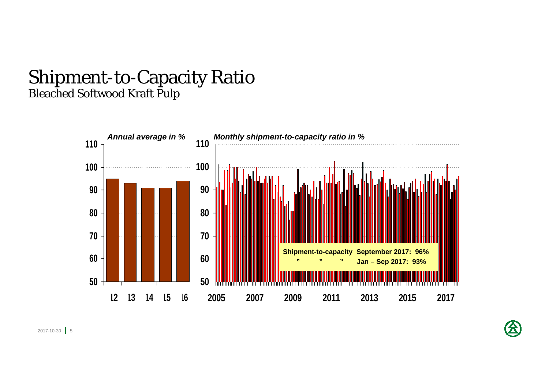### Shipment-to-Capacity Ratio Bleached Softwood Kraft Pulp



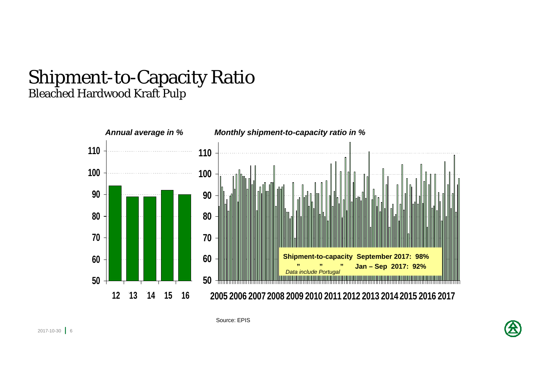### Shipment-to-Capacity Ratio Bleached Hardwood Kraft Pulp



Source: EPIS

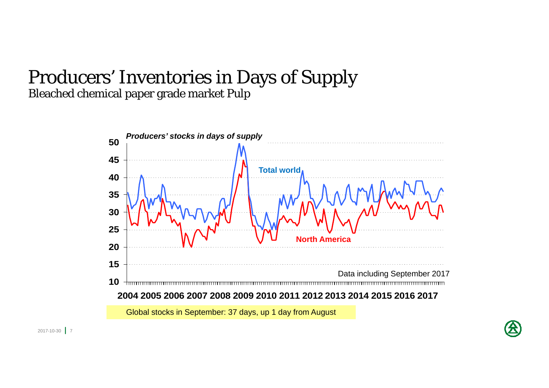### Producers' Inventories in Days of Supply Bleached chemical paper grade market Pulp



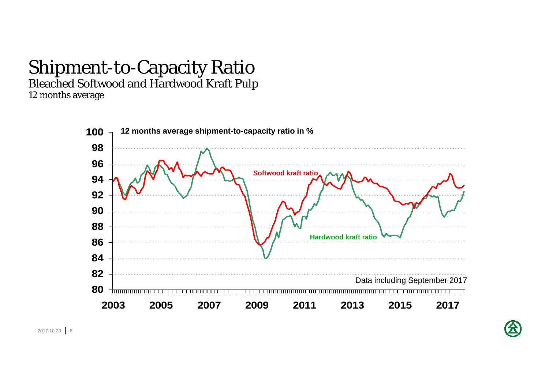## Shipment-to-Capacity Ratio

Bleached Softwood and Hardwood Kraft Pulp

12 months average



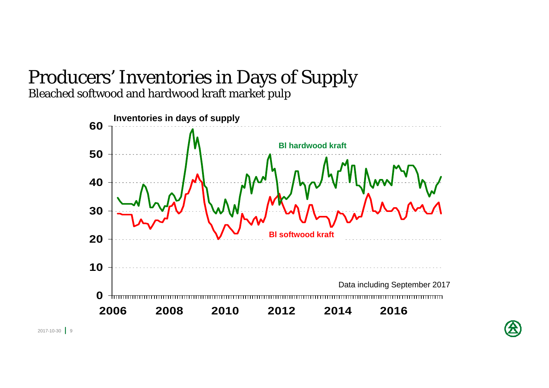# Producers' Inventories in Days of Supply

Bleached softwood and hardwood kraft market pulp

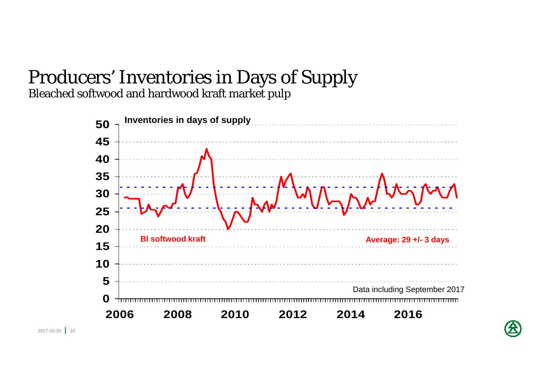## Producers' Inventories in Days of Supply

Bleached softwood and hardwood kraft market pulp



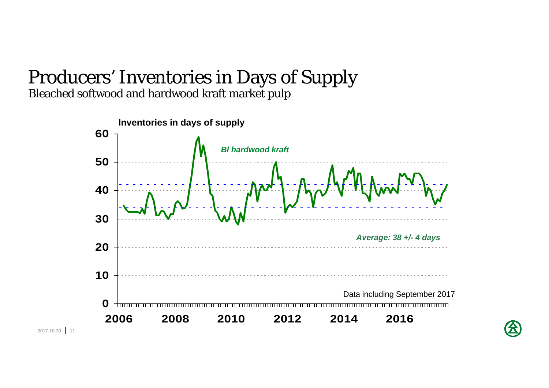#### Producers' Inventories in Days of Supply Bleached softwood and hardwood kraft market pulp



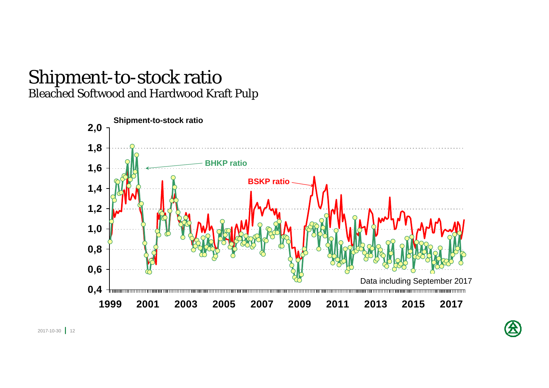### Shipment-to-stock ratio Bleached Softwood and Hardwood Kraft Pulp

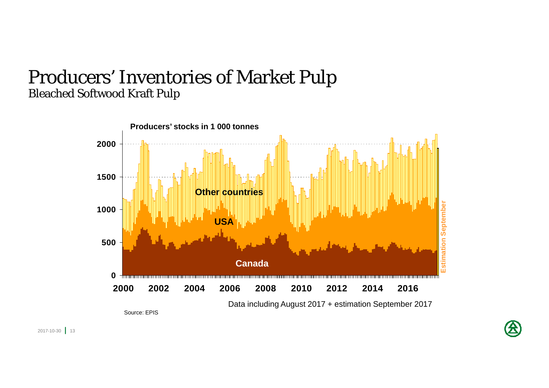### Producers' Inventories of Market Pulp Bleached Softwood Kraft Pulp



2017-10-30 **1** 13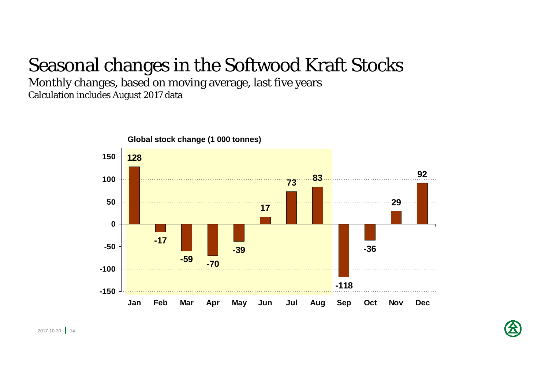### Seasonal changes in the Softwood Kraft Stocks

Monthly changes, based on moving average, last five years Calculation includes August 2017 data

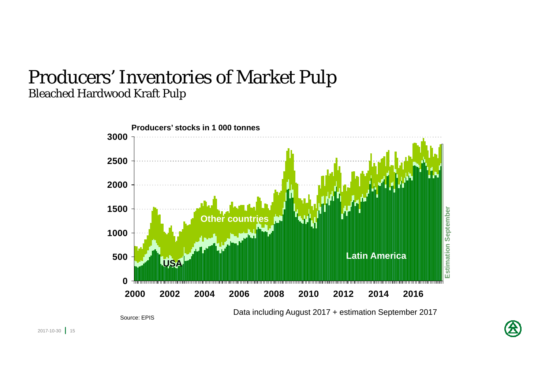### Producers' Inventories of Market Pulp Bleached Hardwood Kraft Pulp



Source: EPIS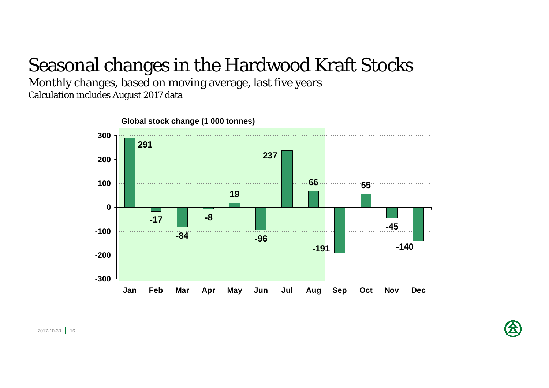### Seasonal changes in the Hardwood Kraft Stocks

Monthly changes, based on moving average, last five years Calculation includes August 2017 data



2017-10-30 **|** 16

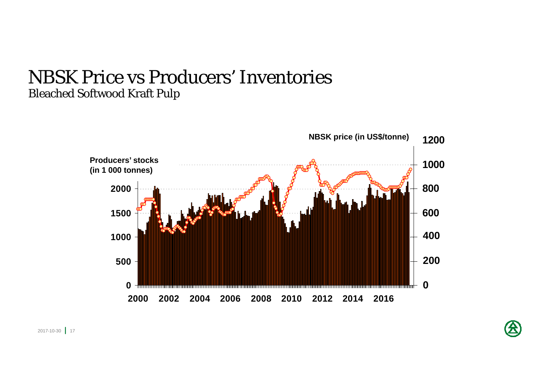### NBSK Price vs Producers' Inventories Bleached Softwood Kraft Pulp

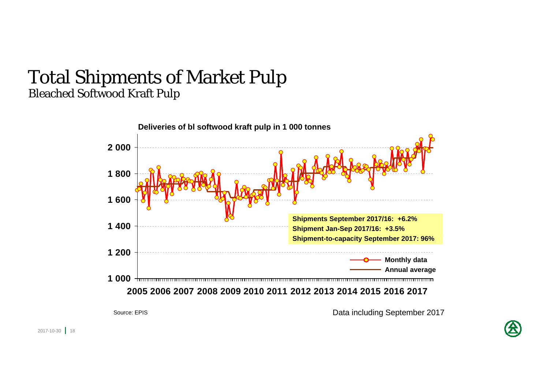### Total Shipments of Market Pulp Bleached Softwood Kraft Pulp



Data including September 2017

Source: EPIS

2017-10-30 **1** 18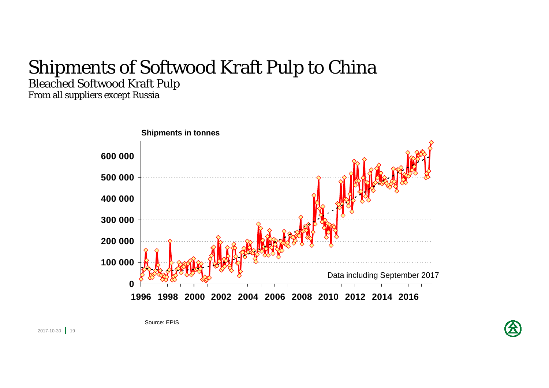### Shipments of Softwood Kraft Pulp to China Bleached Softwood Kraft Pulp

From all suppliers except Russia





2017-10-30 **|** 19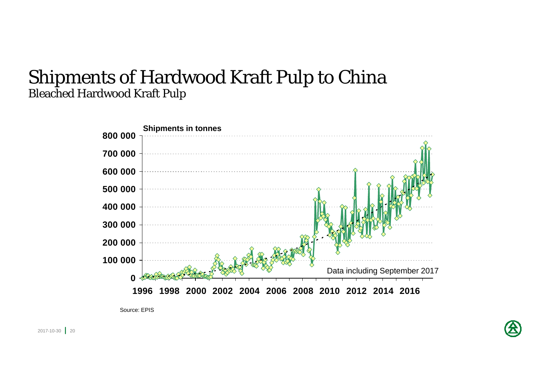### Shipments of Hardwood Kraft Pulp to China Bleached Hardwood Kraft Pulp



Source: EPIS

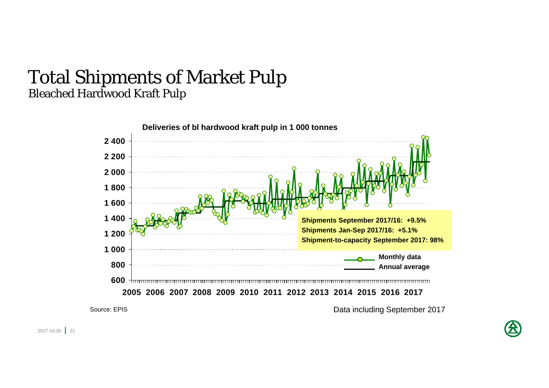### Total Shipments of Market Pulp Bleached Hardwood Kraft Pulp

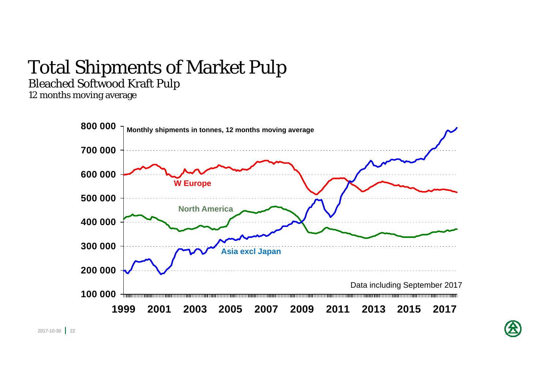## Total Shipments of Market Pulp

Bleached Softwood Kraft Pulp

12 months moving average

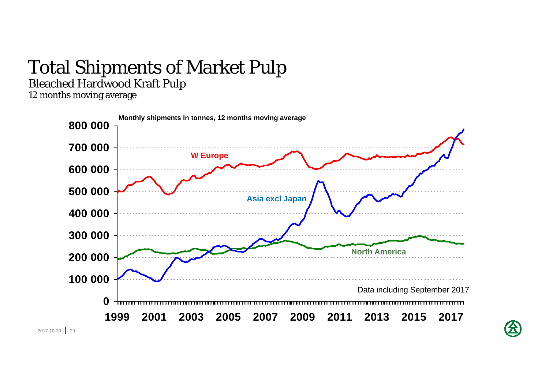## Total Shipments of Market Pulp

Bleached Hardwood Kraft Pulp

12 months moving average